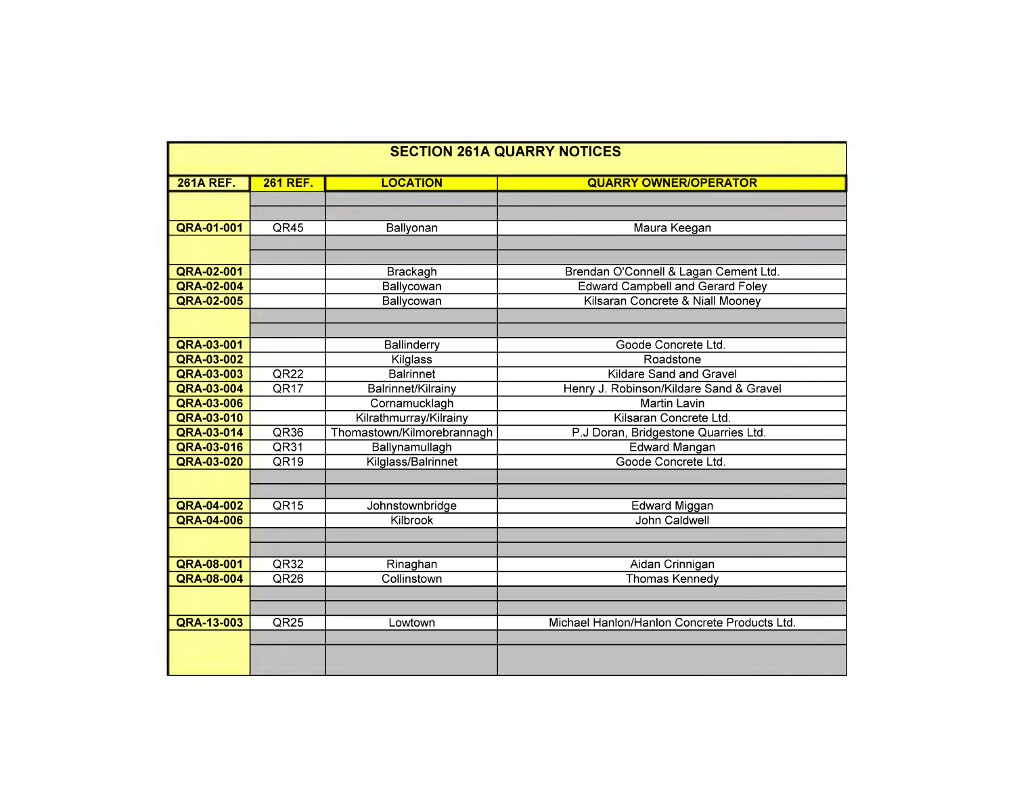| <b>261A REF.</b>  | <b>261 REF.</b>  | <b>LOCATION</b>            | <b>QUARRY OWNER/OPERATOR</b>                 |
|-------------------|------------------|----------------------------|----------------------------------------------|
|                   |                  |                            |                                              |
| QRA-01-001        | QR45             | Ballyonan                  | Maura Keegan                                 |
| QRA-02-001        |                  | Brackagh                   | Brendan O'Connell & Lagan Cement Ltd.        |
| QRA-02-004        |                  | Ballycowan                 | <b>Edward Campbell and Gerard Foley</b>      |
| QRA-02-005        |                  | Ballycowan                 | Kilsaran Concrete & Niall Mooney             |
| QRA-03-001        |                  | Ballinderry                | Goode Concrete Ltd.                          |
| QRA-03-002        |                  | Kilglass                   | Roadstone                                    |
| QRA-03-003        | QR22             | <b>Balrinnet</b>           | Kildare Sand and Gravel                      |
| QRA-03-004        | QR17             | Balrinnet/Kilrainy         | Henry J. Robinson/Kildare Sand & Gravel      |
| QRA-03-006        |                  | Cornamucklagh              | <b>Martin Lavin</b>                          |
| QRA-03-010        |                  | Kilrathmurray/Kilrainy     | Kilsaran Concrete Ltd.                       |
| QRA-03-014        | QR36             | Thomastown/Kilmorebrannagh | P.J Doran, Bridgestone Quarries Ltd.         |
| QRA-03-016        | QR31             | Ballynamullagh             | <b>Edward Mangan</b>                         |
| QRA-03-020        | QR19             | Kilglass/Balrinnet         | Goode Concrete Ltd.                          |
| QRA-04-002        | QR15             | Johnstownbridge            | <b>Edward Miggan</b>                         |
| <b>QRA-04-006</b> |                  | Kilbrook                   | <b>John Caldwell</b>                         |
| QRA-08-001        | QR32             | Rinaghan                   | Aidan Crinnigan                              |
| QRA-08-004        | QR <sub>26</sub> | Collinstown                | <b>Thomas Kennedy</b>                        |
| QRA-13-003        | QR25             | Lowtown                    | Michael Hanlon/Hanlon Concrete Products Ltd. |
|                   |                  |                            |                                              |
|                   |                  |                            |                                              |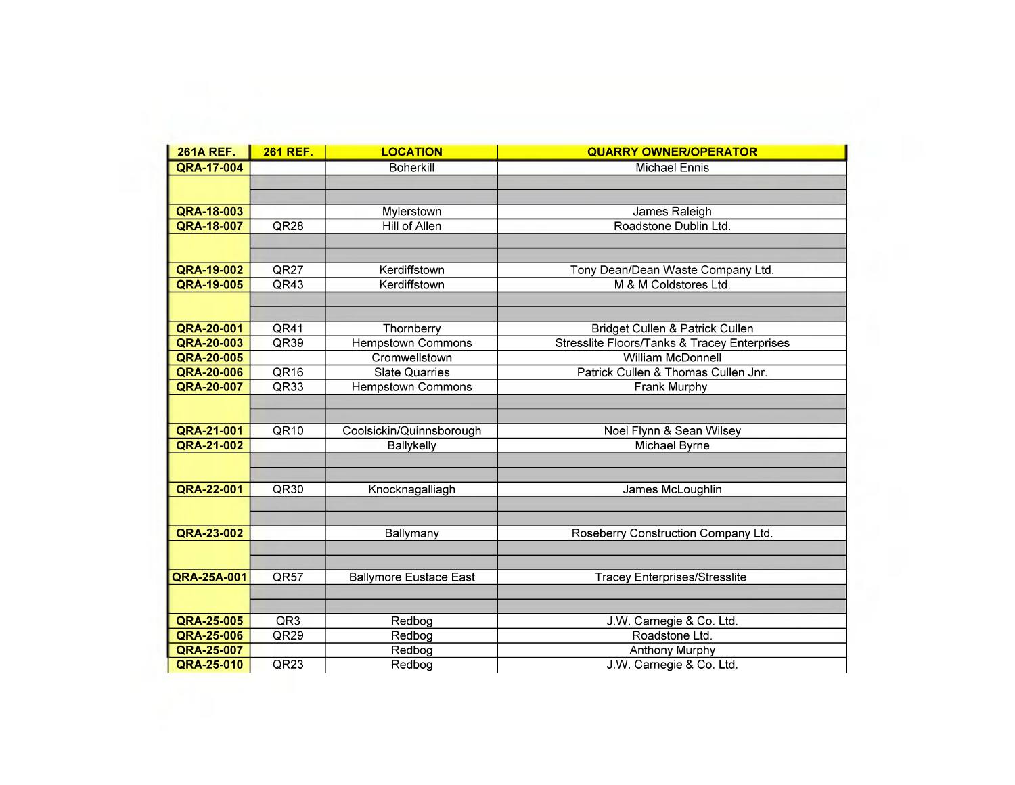| <b>261A REF.</b>         | <b>261 REF.</b>   | <b>LOCATION</b>                        | <b>QUARRY OWNER/OPERATOR</b>                                                    |
|--------------------------|-------------------|----------------------------------------|---------------------------------------------------------------------------------|
| <b>QRA-17-004</b>        |                   | <b>Boherkill</b>                       | <b>Michael Ennis</b>                                                            |
|                          |                   |                                        |                                                                                 |
| QRA-18-003               |                   | Mylerstown                             | James Raleigh                                                                   |
| QRA-18-007               | QR28              | Hill of Allen                          | Roadstone Dublin Ltd.                                                           |
|                          |                   |                                        |                                                                                 |
| QRA-19-002               | QR <sub>27</sub>  | Kerdiffstown                           | Tony Dean/Dean Waste Company Ltd.                                               |
| QRA-19-005               | QR43              | Kerdiffstown                           | M & M Coldstores Ltd.                                                           |
|                          |                   |                                        |                                                                                 |
| QRA-20-001<br>QRA-20-003 | QR41<br>QR39      | Thornberry<br><b>Hempstown Commons</b> | Bridget Cullen & Patrick Cullen<br>Stresslite Floors/Tanks & Tracey Enterprises |
| QRA-20-005               |                   | Cromwellstown                          | <b>William McDonnell</b>                                                        |
| QRA-20-006               | QR16              | <b>Slate Quarries</b>                  | Patrick Cullen & Thomas Cullen Jnr.                                             |
| <b>QRA-20-007</b>        | $\overline{QR33}$ | <b>Hempstown Commons</b>               | Frank Murphy                                                                    |
|                          |                   |                                        |                                                                                 |
| QRA-21-001               | QR10              | Coolsickin/Quinnsborough               | Noel Flynn & Sean Wilsey                                                        |
| QRA-21-002               |                   | Ballykelly                             | <b>Michael Byrne</b>                                                            |
| QRA-22-001               | QR30              |                                        | James McLoughlin                                                                |
|                          |                   | Knocknagalliagh                        |                                                                                 |
| QRA-23-002               |                   | Ballymany                              | Roseberry Construction Company Ltd.                                             |
|                          |                   |                                        |                                                                                 |
| QRA-25A-001              | QR57              | <b>Ballymore Eustace East</b>          | <b>Tracey Enterprises/Stresslite</b>                                            |
| QRA-25-005               | QR3               | Redbog                                 | J.W. Carnegie & Co. Ltd.                                                        |
| <b>QRA-25-006</b>        | QR <sub>29</sub>  | Redbog                                 | Roadstone Ltd.                                                                  |
| QRA-25-007               |                   | Redbog                                 | Anthony Murphy                                                                  |
| <b>QRA-25-010</b>        | QR23              | Redbog                                 | J.W. Carnegie & Co. Ltd.                                                        |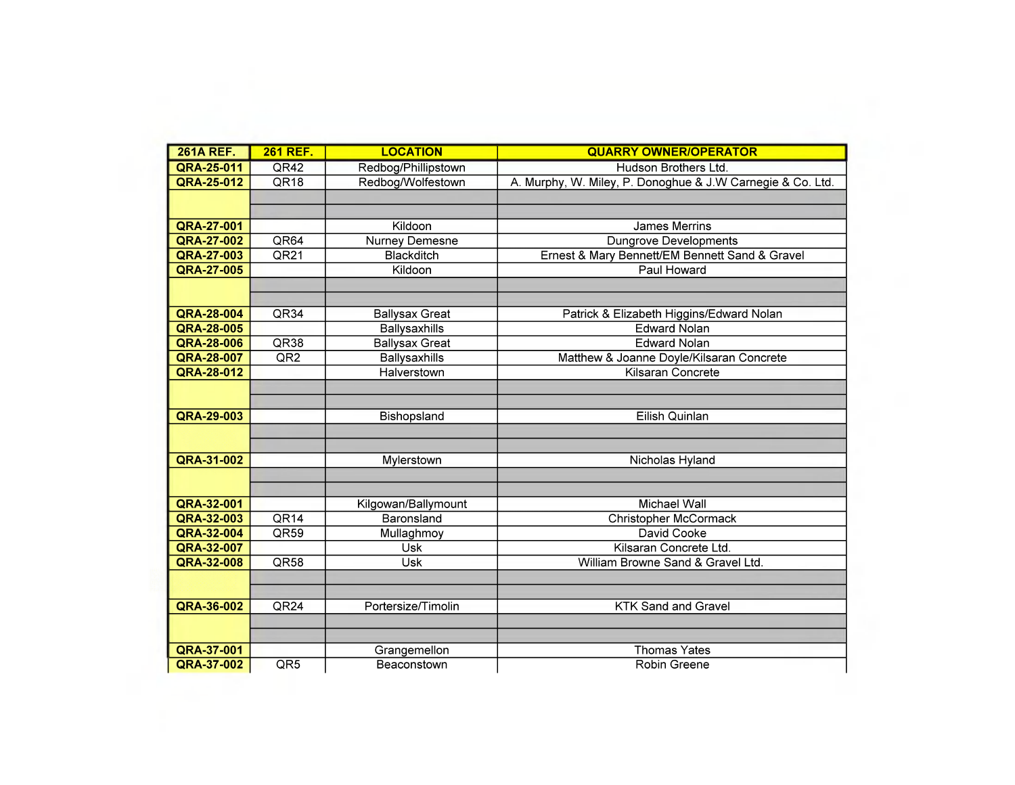| <b>261A REF.</b>  | <b>261 REF.</b>  | <b>LOCATION</b>       | <b>QUARRY OWNER/OPERATOR</b>                               |
|-------------------|------------------|-----------------------|------------------------------------------------------------|
| QRA-25-011        | QR42             | Redbog/Phillipstown   | Hudson Brothers Ltd.                                       |
| QRA-25-012        | QR18             | Redbog/Wolfestown     | A. Murphy, W. Miley, P. Donoghue & J.W Carnegie & Co. Ltd. |
|                   |                  |                       |                                                            |
| QRA-27-001        |                  | Kildoon               | James Merrins                                              |
| QRA-27-002        | QR64             | <b>Nurney Demesne</b> | <b>Dungrove Developments</b>                               |
| QRA-27-003        | QR21             | Blackditch            | Ernest & Mary Bennett/EM Bennett Sand & Gravel             |
| <b>QRA-27-005</b> |                  | Kildoon               | Paul Howard                                                |
|                   |                  |                       |                                                            |
|                   |                  |                       |                                                            |
| <b>QRA-28-004</b> | QR34             | <b>Ballysax Great</b> | Patrick & Elizabeth Higgins/Edward Nolan                   |
| <b>QRA-28-005</b> |                  | <b>Ballysaxhills</b>  | <b>Edward Nolan</b>                                        |
| QRA-28-006        | QR38             | <b>Ballysax Great</b> | <b>Edward Nolan</b>                                        |
| QRA-28-007        | QR2              | Ballysaxhills         | Matthew & Joanne Doyle/Kilsaran Concrete                   |
| QRA-28-012        |                  | Halverstown           | Kilsaran Concrete                                          |
|                   |                  |                       |                                                            |
| QRA-29-003        |                  | Bishopsland           | Eilish Quinlan                                             |
|                   |                  |                       |                                                            |
|                   |                  |                       |                                                            |
| QRA-31-002        |                  | Mylerstown            | Nicholas Hyland                                            |
|                   |                  |                       |                                                            |
|                   |                  |                       |                                                            |
| QRA-32-001        |                  | Kilgowan/Ballymount   | <b>Michael Wall</b>                                        |
| QRA-32-003        | QR14             | Baronsland            | <b>Christopher McCormack</b>                               |
| QRA-32-004        | QR59             | Mullaghmoy            | David Cooke                                                |
| QRA-32-007        |                  | <b>Usk</b>            | Kilsaran Concrete Ltd.                                     |
| QRA-32-008        | QR58             | <b>Usk</b>            | William Browne Sand & Gravel Ltd.                          |
|                   |                  |                       |                                                            |
| QRA-36-002        | QR <sub>24</sub> | Portersize/Timolin    | <b>KTK Sand and Gravel</b>                                 |
|                   |                  |                       |                                                            |
|                   |                  |                       |                                                            |
| QRA-37-001        |                  | Grangemellon          | <b>Thomas Yates</b>                                        |
| QRA-37-002        | QR5              | Beaconstown           | Robin Greene                                               |